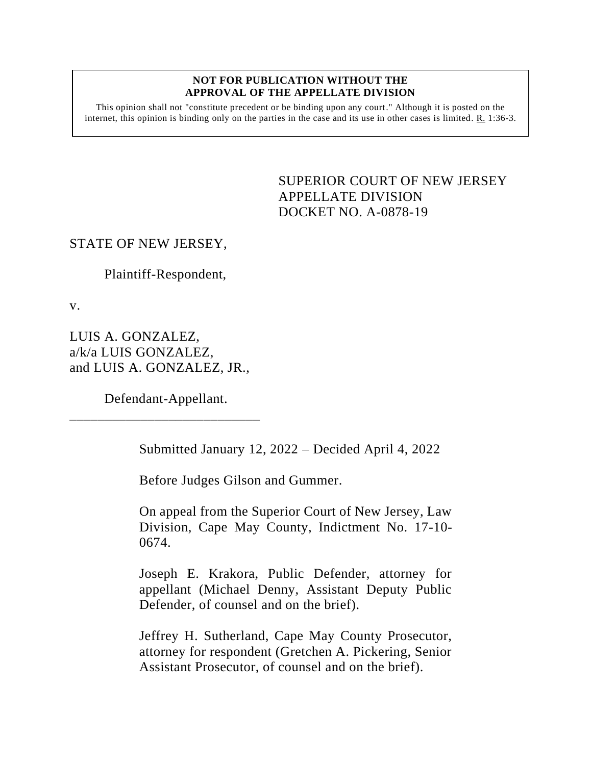#### **NOT FOR PUBLICATION WITHOUT THE APPROVAL OF THE APPELLATE DIVISION**

This opinion shall not "constitute precedent or be binding upon any court." Although it is posted on the internet, this opinion is binding only on the parties in the case and its use in other cases is limited.  $R_1$  1:36-3.

> <span id="page-0-0"></span>SUPERIOR COURT OF NEW JERSEY APPELLATE DIVISION DOCKET NO. A-0878-19

# STATE OF NEW JERSEY,

Plaintiff-Respondent,

v.

LUIS A. GONZALEZ, a/k/a LUIS GONZALEZ, and LUIS A. GONZALEZ, JR.,

Defendant-Appellant. \_\_\_\_\_\_\_\_\_\_\_\_\_\_\_\_\_\_\_\_\_\_\_\_\_\_\_

Submitted January 12, 2022 – Decided April 4, 2022

Before Judges Gilson and Gummer.

On appeal from the Superior Court of New Jersey, Law Division, Cape May County, Indictment No. 17-10- 0674.

Joseph E. Krakora, Public Defender, attorney for appellant (Michael Denny, Assistant Deputy Public Defender, of counsel and on the brief).

Jeffrey H. Sutherland, Cape May County Prosecutor, attorney for respondent (Gretchen A. Pickering, Senior Assistant Prosecutor, of counsel and on the brief).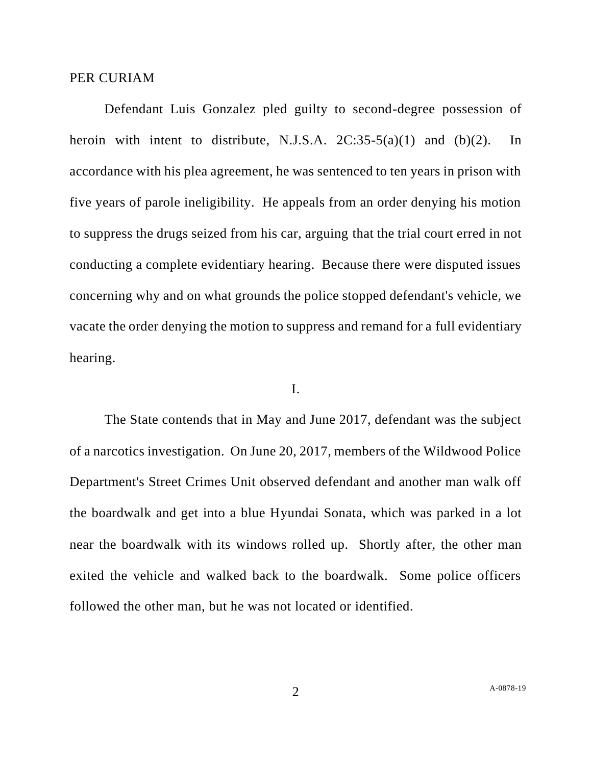### PER CURIAM

Defendant Luis Gonzalez pled guilty to second-degree possession of heroin with intent to distribute, N.J.S.A.  $2C:35-5(a)(1)$  and  $(b)(2)$ . In accordance with his plea agreement, he was sentenced to ten years in prison with five years of parole ineligibility. He appeals from an order denying his motion to suppress the drugs seized from his car, arguing that the trial court erred in not conducting a complete evidentiary hearing. Because there were disputed issues concerning why and on what grounds the police stopped defendant's vehicle, we vacate the order denying the motion to suppress and remand for a full evidentiary hearing.

### I.

The State contends that in May and June 2017, defendant was the subject of a narcotics investigation. On June 20, 2017, members of the Wildwood Police Department's Street Crimes Unit observed defendant and another man walk off the boardwalk and get into a blue Hyundai Sonata, which was parked in a lot near the boardwalk with its windows rolled up. Shortly after, the other man exited the vehicle and walked back to the boardwalk. Some police officers followed the other man, but he was not located or identified.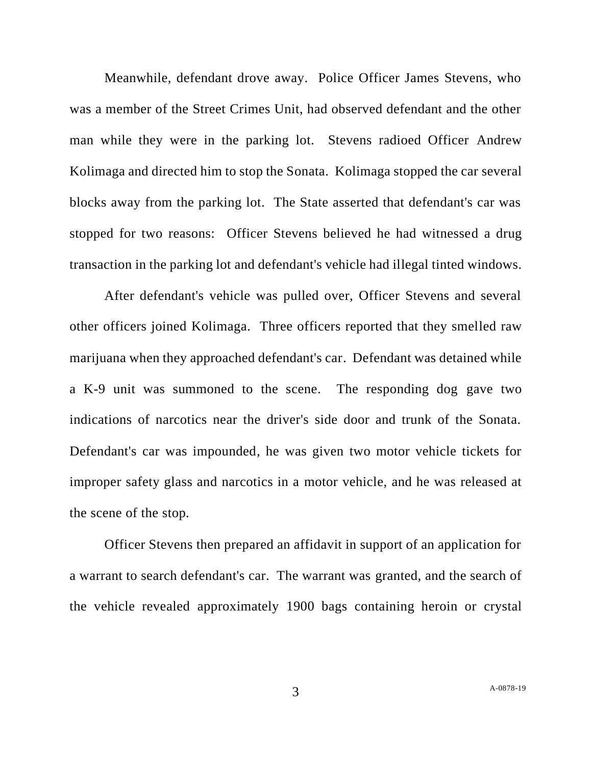Meanwhile, defendant drove away. Police Officer James Stevens, who was a member of the Street Crimes Unit, had observed defendant and the other man while they were in the parking lot. Stevens radioed Officer Andrew Kolimaga and directed him to stop the Sonata. Kolimaga stopped the car several blocks away from the parking lot. The State asserted that defendant's car was stopped for two reasons: Officer Stevens believed he had witnessed a drug transaction in the parking lot and defendant's vehicle had illegal tinted windows.

After defendant's vehicle was pulled over, Officer Stevens and several other officers joined Kolimaga. Three officers reported that they smelled raw marijuana when they approached defendant's car. Defendant was detained while a K-9 unit was summoned to the scene. The responding dog gave two indications of narcotics near the driver's side door and trunk of the Sonata. Defendant's car was impounded, he was given two motor vehicle tickets for improper safety glass and narcotics in a motor vehicle, and he was released at the scene of the stop.

Officer Stevens then prepared an affidavit in support of an application for a warrant to search defendant's car. The warrant was granted, and the search of the vehicle revealed approximately 1900 bags containing heroin or crystal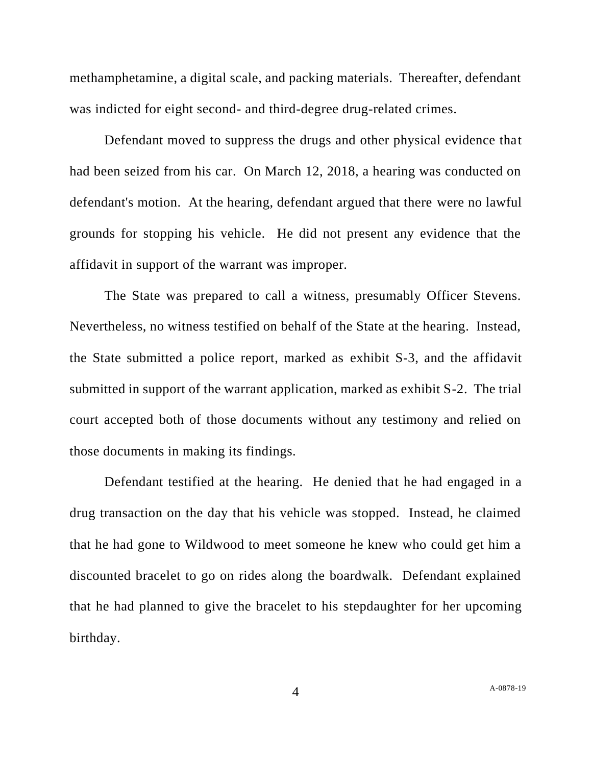methamphetamine, a digital scale, and packing materials. Thereafter, defendant was indicted for eight second- and third-degree drug-related crimes.

Defendant moved to suppress the drugs and other physical evidence that had been seized from his car. On March 12, 2018, a hearing was conducted on defendant's motion. At the hearing, defendant argued that there were no lawful grounds for stopping his vehicle. He did not present any evidence that the affidavit in support of the warrant was improper.

The State was prepared to call a witness, presumably Officer Stevens. Nevertheless, no witness testified on behalf of the State at the hearing. Instead, the State submitted a police report, marked as exhibit S-3, and the affidavit submitted in support of the warrant application, marked as exhibit S-2. The trial court accepted both of those documents without any testimony and relied on those documents in making its findings.

Defendant testified at the hearing. He denied that he had engaged in a drug transaction on the day that his vehicle was stopped. Instead, he claimed that he had gone to Wildwood to meet someone he knew who could get him a discounted bracelet to go on rides along the boardwalk. Defendant explained that he had planned to give the bracelet to his stepdaughter for her upcoming birthday.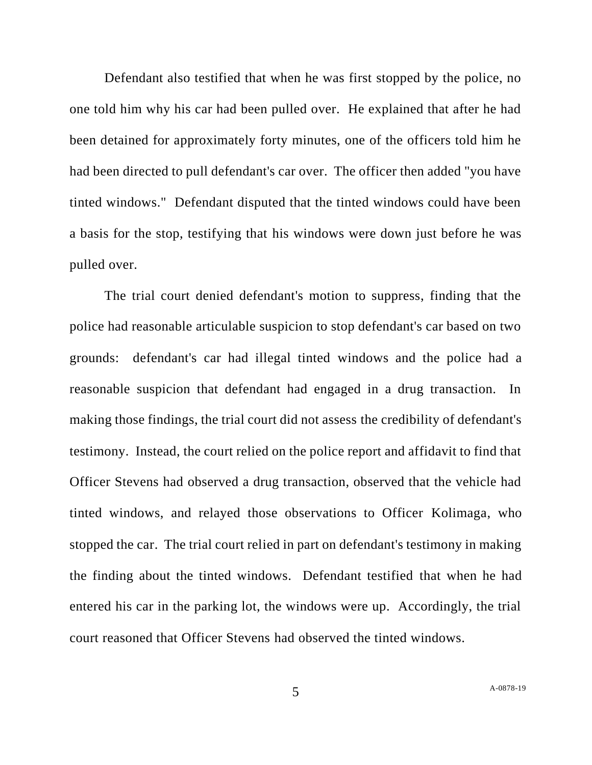Defendant also testified that when he was first stopped by the police, no one told him why his car had been pulled over. He explained that after he had been detained for approximately forty minutes, one of the officers told him he had been directed to pull defendant's car over. The officer then added "you have tinted windows." Defendant disputed that the tinted windows could have been a basis for the stop, testifying that his windows were down just before he was pulled over.

The trial court denied defendant's motion to suppress, finding that the police had reasonable articulable suspicion to stop defendant's car based on two grounds: defendant's car had illegal tinted windows and the police had a reasonable suspicion that defendant had engaged in a drug transaction. In making those findings, the trial court did not assess the credibility of defendant's testimony. Instead, the court relied on the police report and affidavit to find that Officer Stevens had observed a drug transaction, observed that the vehicle had tinted windows, and relayed those observations to Officer Kolimaga, who stopped the car. The trial court relied in part on defendant's testimony in making the finding about the tinted windows. Defendant testified that when he had entered his car in the parking lot, the windows were up. Accordingly, the trial court reasoned that Officer Stevens had observed the tinted windows.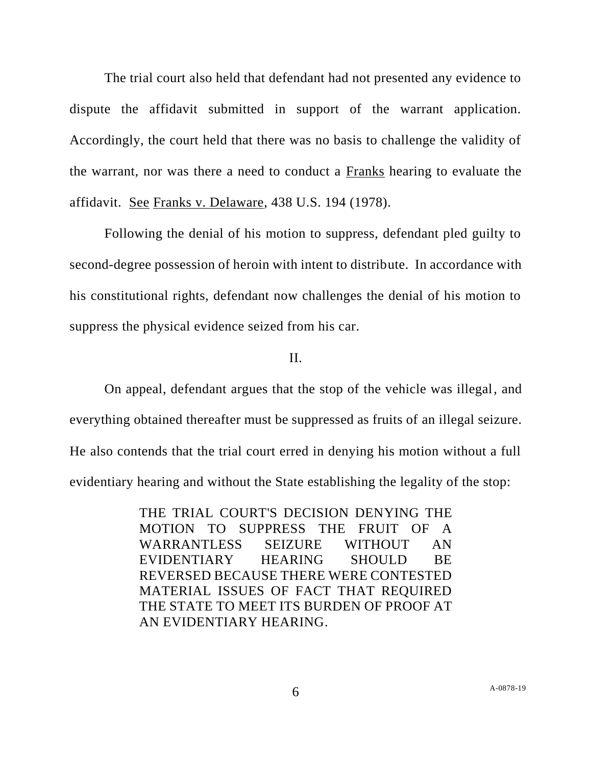The trial court also held that defendant had not presented any evidence to dispute the affidavit submitted in support of the warrant application. Accordingly, the court held that there was no basis to challenge the validity of the warrant, nor was there a need to conduct a Franks hearing to evaluate the affidavit. See Franks v. Delaware, 438 U.S. 194 (1978).

Following the denial of his motion to suppress, defendant pled guilty to second-degree possession of heroin with intent to distribute. In accordance with his constitutional rights, defendant now challenges the denial of his motion to suppress the physical evidence seized from his car.

# II.

On appeal, defendant argues that the stop of the vehicle was illegal, and everything obtained thereafter must be suppressed as fruits of an illegal seizure. He also contends that the trial court erred in denying his motion without a full evidentiary hearing and without the State establishing the legality of the stop:

> THE TRIAL COURT'S DECISION DENYING THE MOTION TO SUPPRESS THE FRUIT OF A WARRANTLESS SEIZURE WITHOUT AN EVIDENTIARY HEARING SHOULD BE REVERSED BECAUSE THERE WERE CONTESTED MATERIAL ISSUES OF FACT THAT REQUIRED THE STATE TO MEET ITS BURDEN OF PROOF AT AN EVIDENTIARY HEARING.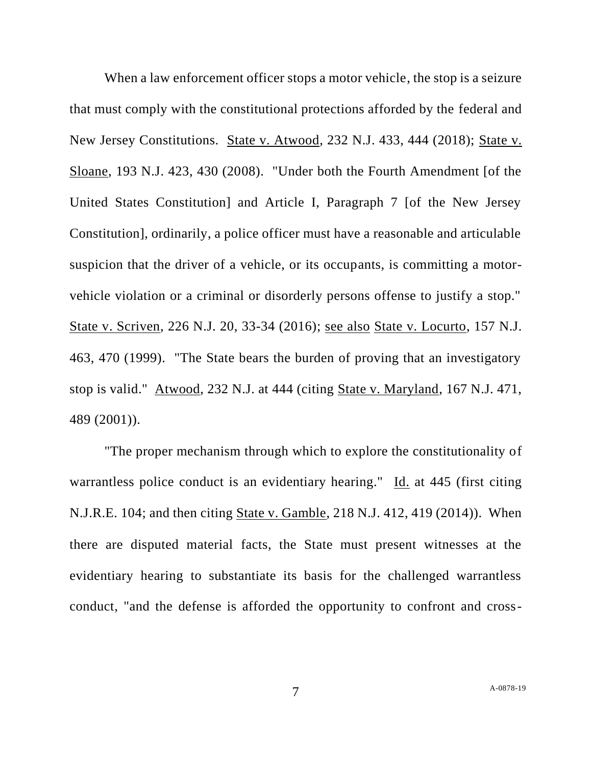When a law enforcement officer stops a motor vehicle, the stop is a seizure that must comply with the constitutional protections afforded by the federal and New Jersey Constitutions. State v. Atwood, 232 N.J. 433, 444 (2018); State v. Sloane, 193 N.J. 423, 430 (2008). "Under both the Fourth Amendment [of the United States Constitution] and Article I, Paragraph 7 [of the New Jersey Constitution], ordinarily, a police officer must have a reasonable and articulable suspicion that the driver of a vehicle, or its occupants, is committing a motorvehicle violation or a criminal or disorderly persons offense to justify a stop." State v. Scriven, 226 N.J. 20, 33-34 (2016); see also State v. Locurto, 157 N.J. 463, 470 (1999). "The State bears the burden of proving that an investigatory stop is valid." Atwood, 232 N.J. at 444 (citing State v. Maryland, 167 N.J. 471, 489 (2001)).

"The proper mechanism through which to explore the constitutionality of warrantless police conduct is an evidentiary hearing." Id. at 445 (first citing N.J.R.E. 104; and then citing State v. Gamble, 218 N.J. 412, 419 (2014)). When there are disputed material facts, the State must present witnesses at the evidentiary hearing to substantiate its basis for the challenged warrantless conduct, "and the defense is afforded the opportunity to confront and cross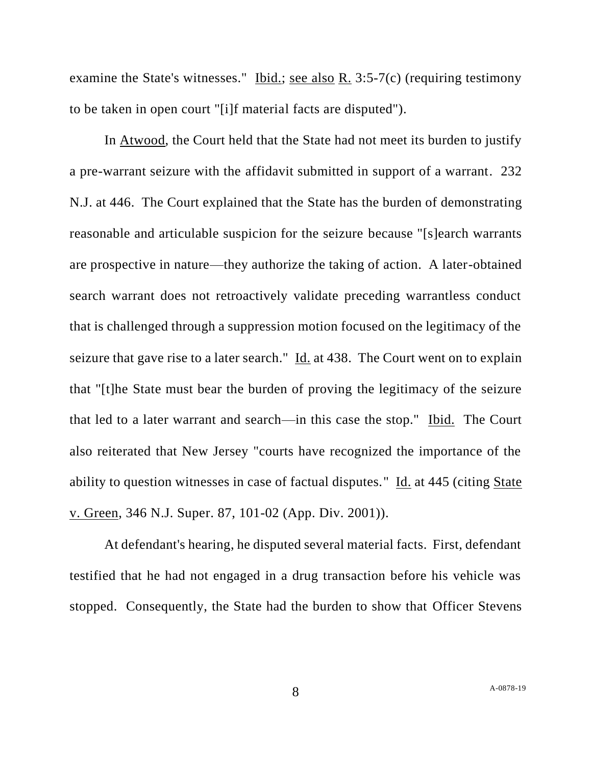examine the State's witnesses." Ibid.; see also R. 3:5-7(c) (requiring testimony to be taken in open court "[i]f material facts are disputed").

In Atwood, the Court held that the State had not meet its burden to justify a pre-warrant seizure with the affidavit submitted in support of a warrant. 232 N.J. at 446. The Court explained that the State has the burden of demonstrating reasonable and articulable suspicion for the seizure because "[s]earch warrants are prospective in nature—they authorize the taking of action. A later-obtained search warrant does not retroactively validate preceding warrantless conduct that is challenged through a suppression motion focused on the legitimacy of the seizure that gave rise to a later search." Id. at 438. The Court went on to explain that "[t]he State must bear the burden of proving the legitimacy of the seizure that led to a later warrant and search—in this case the stop." Ibid. The Court also reiterated that New Jersey "courts have recognized the importance of the ability to question witnesses in case of factual disputes." Id. at 445 (citing State v. Green, 346 N.J. Super. 87, 101-02 (App. Div. 2001)).

At defendant's hearing, he disputed several material facts. First, defendant testified that he had not engaged in a drug transaction before his vehicle was stopped. Consequently, the State had the burden to show that Officer Stevens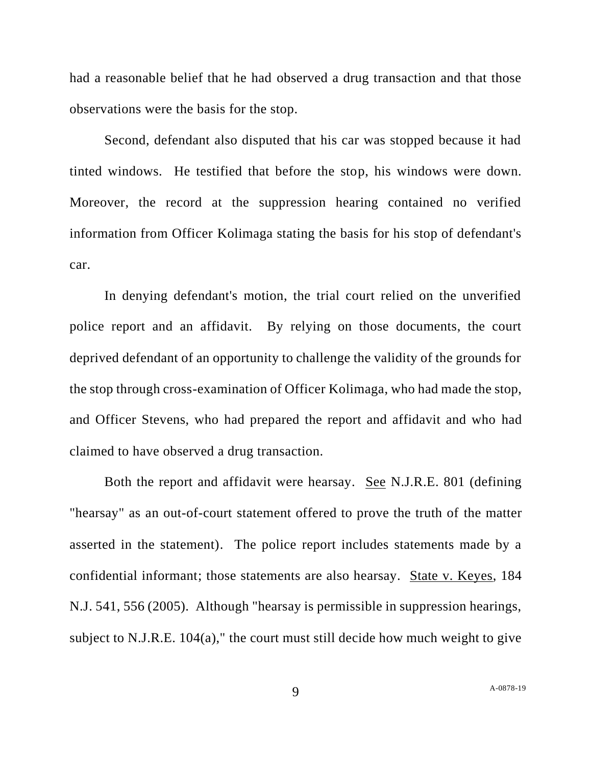had a reasonable belief that he had observed a drug transaction and that those observations were the basis for the stop.

Second, defendant also disputed that his car was stopped because it had tinted windows. He testified that before the stop, his windows were down. Moreover, the record at the suppression hearing contained no verified information from Officer Kolimaga stating the basis for his stop of defendant's car.

In denying defendant's motion, the trial court relied on the unverified police report and an affidavit. By relying on those documents, the court deprived defendant of an opportunity to challenge the validity of the grounds for the stop through cross-examination of Officer Kolimaga, who had made the stop, and Officer Stevens, who had prepared the report and affidavit and who had claimed to have observed a drug transaction.

Both the report and affidavit were hearsay. See N.J.R.E. 801 (defining "hearsay" as an out-of-court statement offered to prove the truth of the matter asserted in the statement). The police report includes statements made by a confidential informant; those statements are also hearsay. State v. Keyes, 184 N.J. 541, 556 (2005). Although "hearsay is permissible in suppression hearings, subject to N.J.R.E. 104(a)," the court must still decide how much weight to give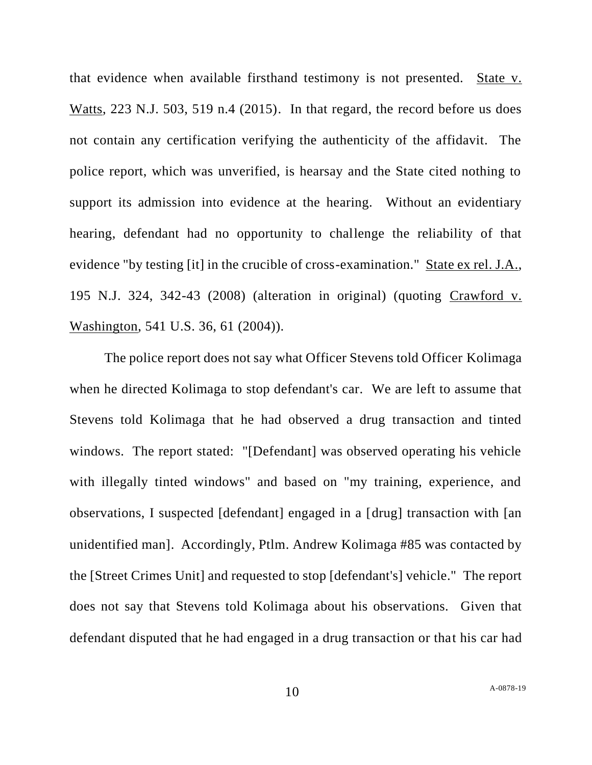that evidence when available firsthand testimony is not presented. State v. Watts, 223 N.J. 503, 519 n.4 (2015). In that regard, the record before us does not contain any certification verifying the authenticity of the affidavit. The police report, which was unverified, is hearsay and the State cited nothing to support its admission into evidence at the hearing. Without an evidentiary hearing, defendant had no opportunity to challenge the reliability of that evidence "by testing [it] in the crucible of cross-examination." State ex rel. J.A., 195 N.J. 324, 342-43 (2008) (alteration in original) (quoting Crawford v. Washington, 541 U.S. 36, 61 (2004)).

The police report does not say what Officer Stevens told Officer Kolimaga when he directed Kolimaga to stop defendant's car. We are left to assume that Stevens told Kolimaga that he had observed a drug transaction and tinted windows. The report stated: "[Defendant] was observed operating his vehicle with illegally tinted windows" and based on "my training, experience, and observations, I suspected [defendant] engaged in a [drug] transaction with [an unidentified man]. Accordingly, Ptlm. Andrew Kolimaga #85 was contacted by the [Street Crimes Unit] and requested to stop [defendant's] vehicle." The report does not say that Stevens told Kolimaga about his observations. Given that defendant disputed that he had engaged in a drug transaction or that his car had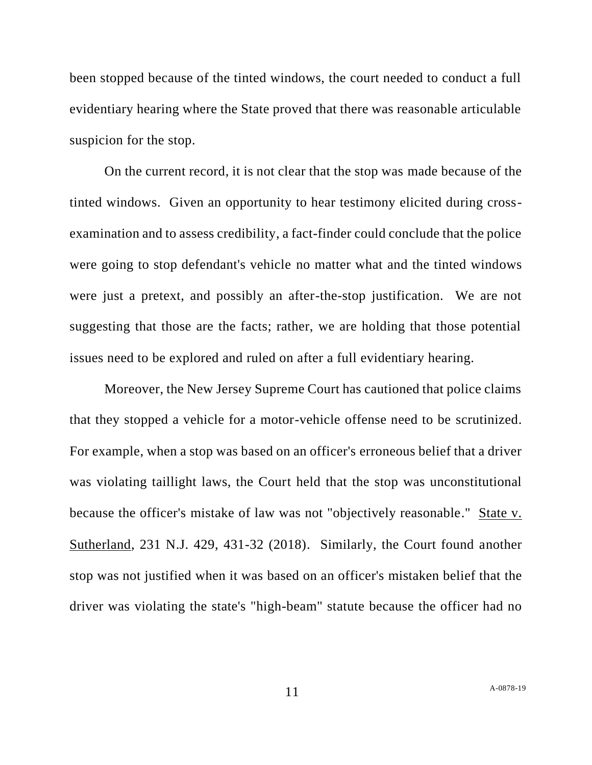been stopped because of the tinted windows, the court needed to conduct a full evidentiary hearing where the State proved that there was reasonable articulable suspicion for the stop.

On the current record, it is not clear that the stop was made because of the tinted windows. Given an opportunity to hear testimony elicited during crossexamination and to assess credibility, a fact-finder could conclude that the police were going to stop defendant's vehicle no matter what and the tinted windows were just a pretext, and possibly an after-the-stop justification. We are not suggesting that those are the facts; rather, we are holding that those potential issues need to be explored and ruled on after a full evidentiary hearing.

Moreover, the New Jersey Supreme Court has cautioned that police claims that they stopped a vehicle for a motor-vehicle offense need to be scrutinized. For example, when a stop was based on an officer's erroneous belief that a driver was violating taillight laws, the Court held that the stop was unconstitutional because the officer's mistake of law was not "objectively reasonable." State v. Sutherland, 231 N.J. 429, 431-32 (2018). Similarly, the Court found another stop was not justified when it was based on an officer's mistaken belief that the driver was violating the state's "high-beam" statute because the officer had no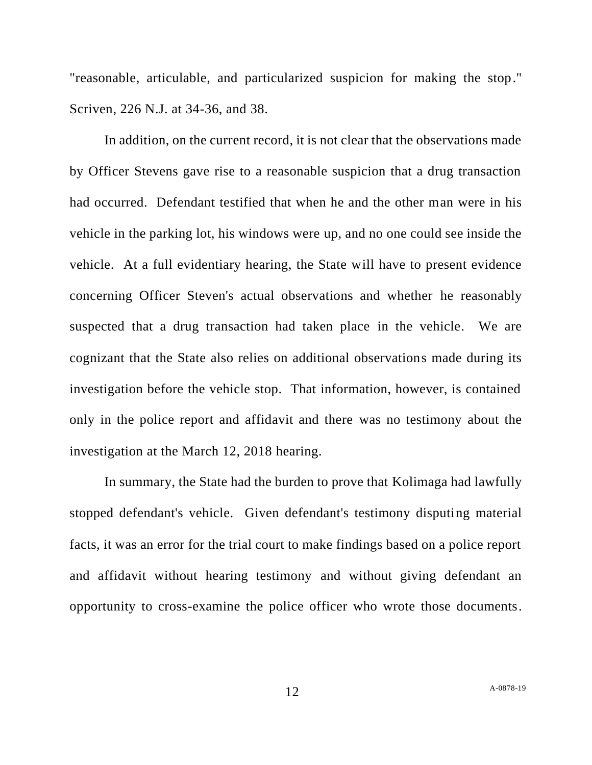"reasonable, articulable, and particularized suspicion for making the stop." Scriven, 226 N.J. at 34-36, and 38.

In addition, on the current record, it is not clear that the observations made by Officer Stevens gave rise to a reasonable suspicion that a drug transaction had occurred. Defendant testified that when he and the other man were in his vehicle in the parking lot, his windows were up, and no one could see inside the vehicle. At a full evidentiary hearing, the State will have to present evidence concerning Officer Steven's actual observations and whether he reasonably suspected that a drug transaction had taken place in the vehicle. We are cognizant that the State also relies on additional observations made during its investigation before the vehicle stop. That information, however, is contained only in the police report and affidavit and there was no testimony about the investigation at the March 12, 2018 hearing.

In summary, the State had the burden to prove that Kolimaga had lawfully stopped defendant's vehicle. Given defendant's testimony disputing material facts, it was an error for the trial court to make findings based on a police report and affidavit without hearing testimony and without giving defendant an opportunity to cross-examine the police officer who wrote those documents.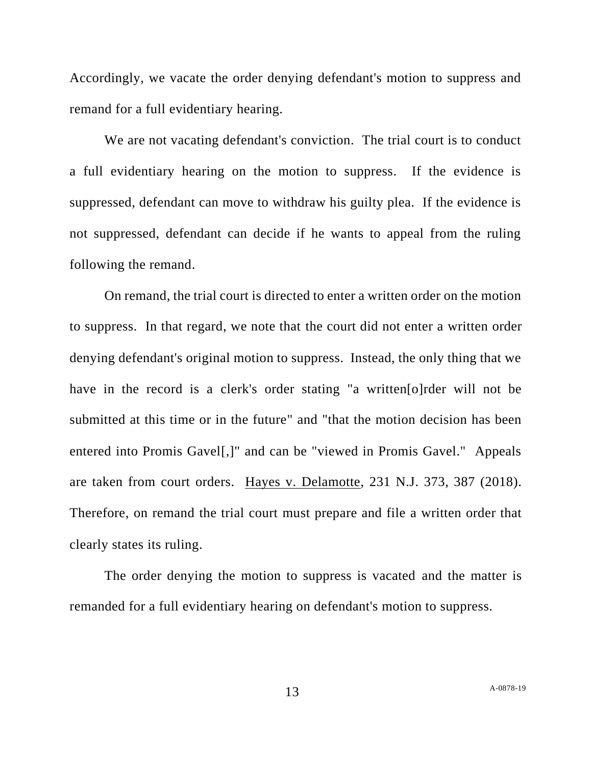Accordingly, we vacate the order denying defendant's motion to suppress and remand for a full evidentiary hearing.

We are not vacating defendant's conviction. The trial court is to conduct a full evidentiary hearing on the motion to suppress. If the evidence is suppressed, defendant can move to withdraw his guilty plea. If the evidence is not suppressed, defendant can decide if he wants to appeal from the ruling following the remand.

On remand, the trial court is directed to enter a written order on the motion to suppress. In that regard, we note that the court did not enter a written order denying defendant's original motion to suppress. Instead, the only thing that we have in the record is a clerk's order stating "a written[o]rder will not be submitted at this time or in the future" and "that the motion decision has been entered into Promis Gavel[,]" and can be "viewed in Promis Gavel." Appeals are taken from court orders. Hayes v. Delamotte, 231 N.J. 373, 387 (2018). Therefore, on remand the trial court must prepare and file a written order that clearly states its ruling.

The order denying the motion to suppress is vacated and the matter is remanded for a full evidentiary hearing on defendant's motion to suppress.

13 A[-0878-19](#page-0-0)